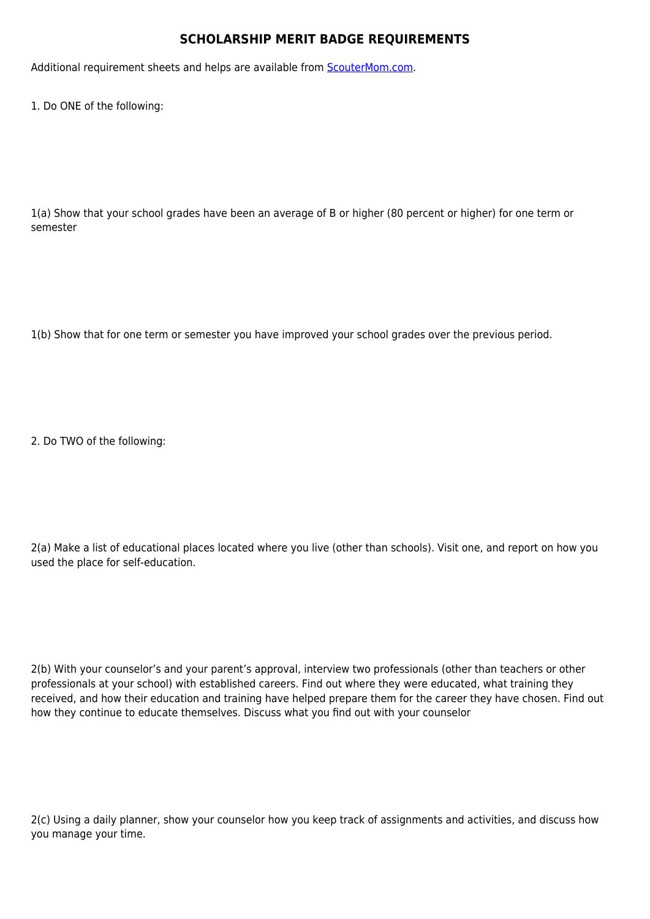## **SCHOLARSHIP MERIT BADGE REQUIREMENTS**

Additional requirement sheets and helps are available from [ScouterMom.com](http://scoutermom.com).

1. Do ONE of the following:

1(a) Show that your school grades have been an average of B or higher (80 percent or higher) for one term or semester

1(b) Show that for one term or semester you have improved your school grades over the previous period.

2. Do TWO of the following:

2(a) Make a list of educational places located where you live (other than schools). Visit one, and report on how you used the place for self-education.

2(b) With your counselor's and your parent's approval, interview two professionals (other than teachers or other professionals at your school) with established careers. Find out where they were educated, what training they received, and how their education and training have helped prepare them for the career they have chosen. Find out how they continue to educate themselves. Discuss what you find out with your counselor

2(c) Using a daily planner, show your counselor how you keep track of assignments and activities, and discuss how you manage your time.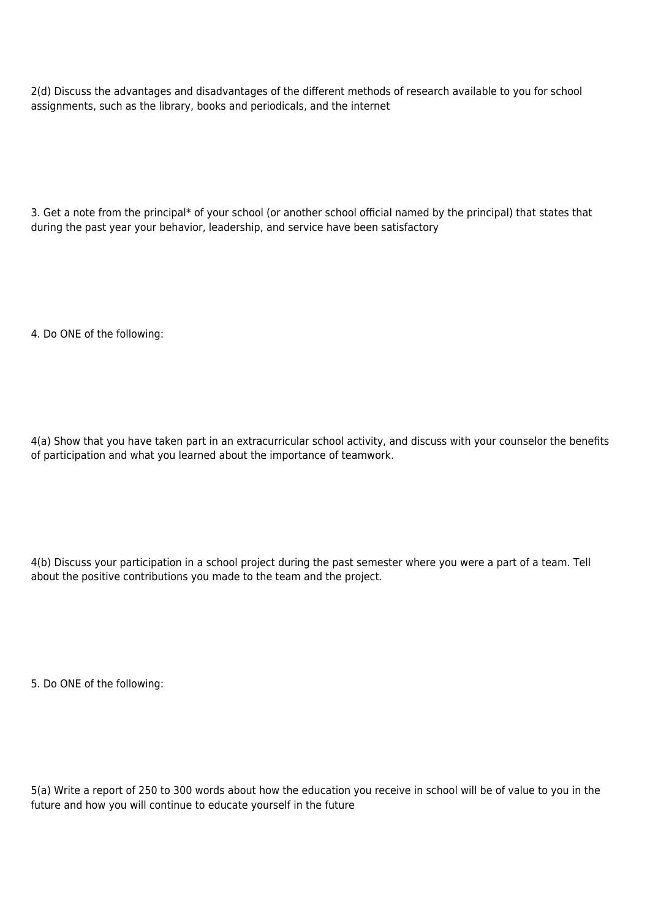2(d) Discuss the advantages and disadvantages of the different methods of research available to you for school assignments, such as the library, books and periodicals, and the internet

3. Get a note from the principal\* of your school (or another school official named by the principal) that states that during the past year your behavior, leadership, and service have been satisfactory

4. Do ONE of the following:

4(a) Show that you have taken part in an extracurricular school activity, and discuss with your counselor the benefits of participation and what you learned about the importance of teamwork.

4(b) Discuss your participation in a school project during the past semester where you were a part of a team. Tell about the positive contributions you made to the team and the project.

5. Do ONE of the following:

5(a) Write a report of 250 to 300 words about how the education you receive in school will be of value to you in the future and how you will continue to educate yourself in the future